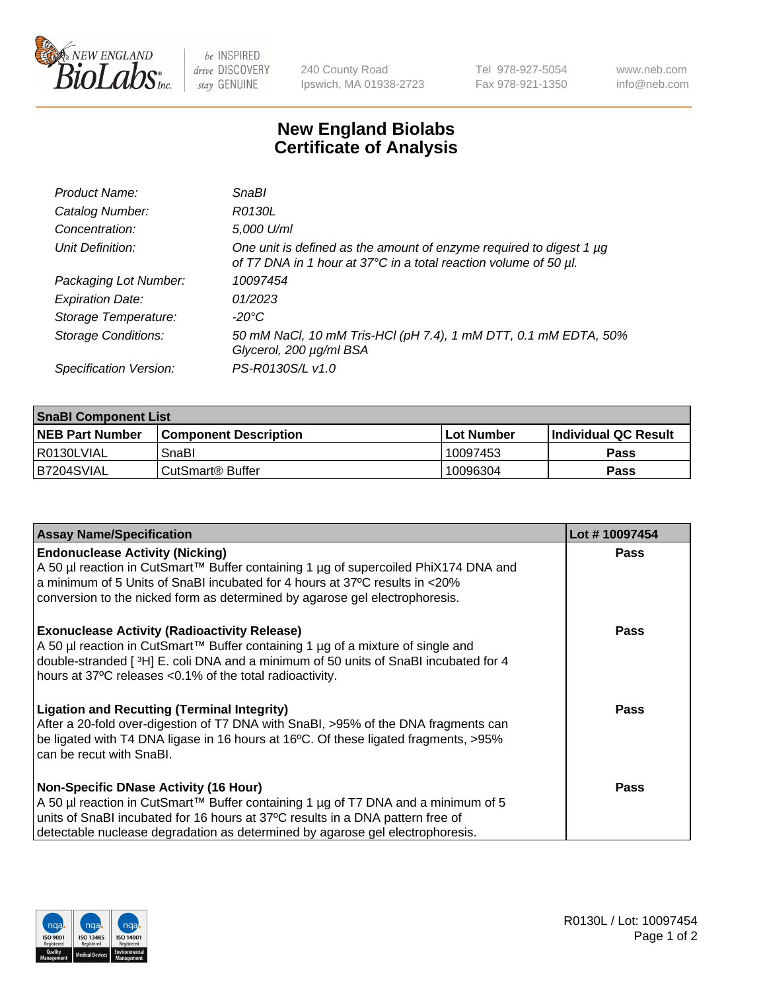

 $be$  INSPIRED drive DISCOVERY stay GENUINE

240 County Road Ipswich, MA 01938-2723 Tel 978-927-5054 Fax 978-921-1350 www.neb.com info@neb.com

## **New England Biolabs Certificate of Analysis**

| Product Name:              | <b>SnaBl</b>                                                                                                                            |
|----------------------------|-----------------------------------------------------------------------------------------------------------------------------------------|
| Catalog Number:            | R0130L                                                                                                                                  |
| Concentration:             | 5,000 U/ml                                                                                                                              |
| Unit Definition:           | One unit is defined as the amount of enzyme required to digest 1 µg<br>of T7 DNA in 1 hour at 37°C in a total reaction volume of 50 µl. |
| Packaging Lot Number:      | 10097454                                                                                                                                |
| <b>Expiration Date:</b>    | 01/2023                                                                                                                                 |
| Storage Temperature:       | -20°C                                                                                                                                   |
| <b>Storage Conditions:</b> | 50 mM NaCl, 10 mM Tris-HCl (pH 7.4), 1 mM DTT, 0.1 mM EDTA, 50%<br>Glycerol, 200 µg/ml BSA                                              |
| Specification Version:     | PS-R0130S/L v1.0                                                                                                                        |

| <b>SnaBI Component List</b> |                              |              |                       |  |
|-----------------------------|------------------------------|--------------|-----------------------|--|
| <b>NEB Part Number</b>      | <b>Component Description</b> | l Lot Number | ∣Individual QC Result |  |
| l R0130LVIAL                | SnaBl                        | 10097453     | Pass                  |  |
| B7204SVIAL                  | CutSmart <sup>®</sup> Buffer | 10096304     | Pass                  |  |

| <b>Assay Name/Specification</b>                                                                                                                                                                                                                                                                      | Lot #10097454 |
|------------------------------------------------------------------------------------------------------------------------------------------------------------------------------------------------------------------------------------------------------------------------------------------------------|---------------|
| <b>Endonuclease Activity (Nicking)</b><br>A 50 µl reaction in CutSmart™ Buffer containing 1 µg of supercoiled PhiX174 DNA and<br>a minimum of 5 Units of SnaBI incubated for 4 hours at 37°C results in <20%<br>conversion to the nicked form as determined by agarose gel electrophoresis.          | <b>Pass</b>   |
| <b>Exonuclease Activity (Radioactivity Release)</b><br>A 50 µl reaction in CutSmart™ Buffer containing 1 µg of a mixture of single and<br>double-stranded [3H] E. coli DNA and a minimum of 50 units of SnaBI incubated for 4<br>hours at 37°C releases <0.1% of the total radioactivity.            | <b>Pass</b>   |
| <b>Ligation and Recutting (Terminal Integrity)</b><br>After a 20-fold over-digestion of T7 DNA with SnaBI, >95% of the DNA fragments can<br>be ligated with T4 DNA ligase in 16 hours at 16°C. Of these ligated fragments, >95%<br>can be recut with SnaBI.                                          | Pass          |
| <b>Non-Specific DNase Activity (16 Hour)</b><br>A 50 µl reaction in CutSmart™ Buffer containing 1 µg of T7 DNA and a minimum of 5<br>units of SnaBI incubated for 16 hours at 37°C results in a DNA pattern free of<br>detectable nuclease degradation as determined by agarose gel electrophoresis. | Pass          |